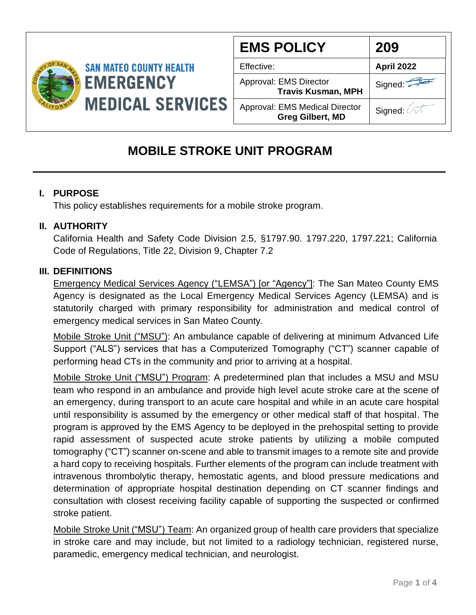

| <b>EMS POLICY</b>                                                | 209               |
|------------------------------------------------------------------|-------------------|
| Effective:                                                       | <b>April 2022</b> |
| Approval: EMS Director<br><b>Travis Kusman, MPH</b>              | Signed:           |
| <b>Approval: EMS Medical Director</b><br><b>Greg Gilbert, MD</b> | Signed: A         |

# **MOBILE STROKE UNIT PROGRAM**

## **I. PURPOSE**

This policy establishes requirements for a mobile stroke program.

## **II. AUTHORITY**

California Health and Safety Code Division 2.5, §1797.90. 1797.220, 1797.221; California Code of Regulations, Title 22, Division 9, Chapter 7.2

#### **III. DEFINITIONS**

Emergency Medical Services Agency ("LEMSA") [or "Agency"]: The San Mateo County EMS Agency is designated as the Local Emergency Medical Services Agency (LEMSA) and is statutorily charged with primary responsibility for administration and medical control of emergency medical services in San Mateo County.

Mobile Stroke Unit ("MSU"): An ambulance capable of delivering at minimum Advanced Life Support ("ALS") services that has a Computerized Tomography ("CT") scanner capable of performing head CTs in the community and prior to arriving at a hospital.

Mobile Stroke Unit ("MSU") Program: A predetermined plan that includes a MSU and MSU team who respond in an ambulance and provide high level acute stroke care at the scene of an emergency, during transport to an acute care hospital and while in an acute care hospital until responsibility is assumed by the emergency or other medical staff of that hospital. The program is approved by the EMS Agency to be deployed in the prehospital setting to provide rapid assessment of suspected acute stroke patients by utilizing a mobile computed tomography ("CT") scanner on-scene and able to transmit images to a remote site and provide a hard copy to receiving hospitals. Further elements of the program can include treatment with intravenous thrombolytic therapy, hemostatic agents, and blood pressure medications and determination of appropriate hospital destination depending on CT scanner findings and consultation with closest receiving facility capable of supporting the suspected or confirmed stroke patient.

Mobile Stroke Unit ("MSU") Team: An organized group of health care providers that specialize in stroke care and may include, but not limited to a radiology technician, registered nurse, paramedic, emergency medical technician, and neurologist.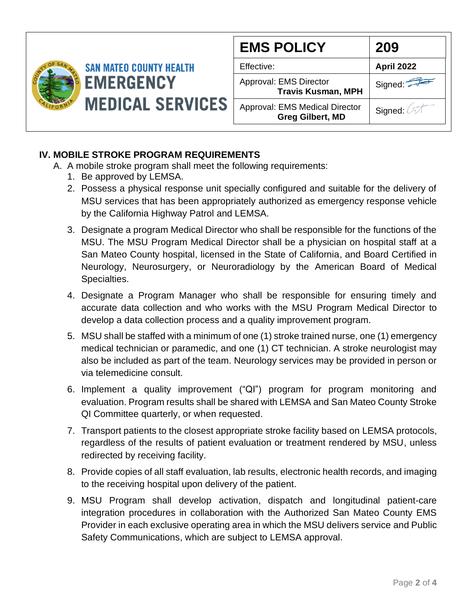

| <b>EMS POLICY</b>                                                | 209        |
|------------------------------------------------------------------|------------|
| Effective:                                                       | April 2022 |
| Approval: EMS Director<br><b>Travis Kusman, MPH</b>              | Signed:    |
| <b>Approval: EMS Medical Director</b><br><b>Greg Gilbert, MD</b> | Signed:    |

#### **IV. MOBILE STROKE PROGRAM REQUIREMENTS**

- A. A mobile stroke program shall meet the following requirements:
	- 1. Be approved by LEMSA.
	- 2. Possess a physical response unit specially configured and suitable for the delivery of MSU services that has been appropriately authorized as emergency response vehicle by the California Highway Patrol and LEMSA.
	- 3. Designate a program Medical Director who shall be responsible for the functions of the MSU. The MSU Program Medical Director shall be a physician on hospital staff at a San Mateo County hospital, licensed in the State of California, and Board Certified in Neurology, Neurosurgery, or Neuroradiology by the American Board of Medical Specialties.
	- 4. Designate a Program Manager who shall be responsible for ensuring timely and accurate data collection and who works with the MSU Program Medical Director to develop a data collection process and a quality improvement program.
	- 5. MSU shall be staffed with a minimum of one (1) stroke trained nurse, one (1) emergency medical technician or paramedic, and one (1) CT technician. A stroke neurologist may also be included as part of the team. Neurology services may be provided in person or via telemedicine consult.
	- 6. Implement a quality improvement ("QI") program for program monitoring and evaluation. Program results shall be shared with LEMSA and San Mateo County Stroke QI Committee quarterly, or when requested.
	- 7. Transport patients to the closest appropriate stroke facility based on LEMSA protocols, regardless of the results of patient evaluation or treatment rendered by MSU, unless redirected by receiving facility.
	- 8. Provide copies of all staff evaluation, lab results, electronic health records, and imaging to the receiving hospital upon delivery of the patient.
	- 9. MSU Program shall develop activation, dispatch and longitudinal patient-care integration procedures in collaboration with the Authorized San Mateo County EMS Provider in each exclusive operating area in which the MSU delivers service and Public Safety Communications, which are subject to LEMSA approval.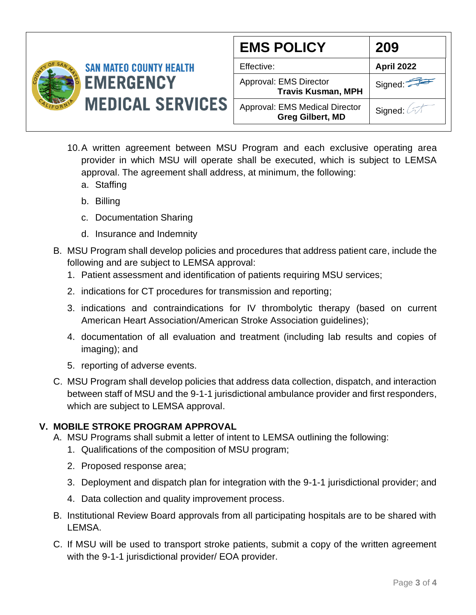

| <b>EMS POLICY</b>                                         | 209               |
|-----------------------------------------------------------|-------------------|
| Effective:                                                | <b>April 2022</b> |
| Approval: EMS Director<br><b>Travis Kusman, MPH</b>       | Signed:           |
| Approval: EMS Medical Director<br><b>Greg Gilbert, MD</b> | Signed: 2         |

- 10.A written agreement between MSU Program and each exclusive operating area provider in which MSU will operate shall be executed, which is subject to LEMSA approval. The agreement shall address, at minimum, the following:
	- a. Staffing
	- b. Billing
	- c. Documentation Sharing
	- d. Insurance and Indemnity
- B. MSU Program shall develop policies and procedures that address patient care, include the following and are subject to LEMSA approval:
	- 1. Patient assessment and identification of patients requiring MSU services;
	- 2. indications for CT procedures for transmission and reporting;
	- 3. indications and contraindications for IV thrombolytic therapy (based on current American Heart Association/American Stroke Association guidelines);
	- 4. documentation of all evaluation and treatment (including lab results and copies of imaging); and
	- 5. reporting of adverse events.
- C. MSU Program shall develop policies that address data collection, dispatch, and interaction between staff of MSU and the 9-1-1 jurisdictional ambulance provider and first responders, which are subject to LEMSA approval.

# **V. MOBILE STROKE PROGRAM APPROVAL**

- A. MSU Programs shall submit a letter of intent to LEMSA outlining the following:
	- 1. Qualifications of the composition of MSU program;
	- 2. Proposed response area;
	- 3. Deployment and dispatch plan for integration with the 9-1-1 jurisdictional provider; and
	- 4. Data collection and quality improvement process.
- B. Institutional Review Board approvals from all participating hospitals are to be shared with LEMSA.
- C. If MSU will be used to transport stroke patients, submit a copy of the written agreement with the 9-1-1 jurisdictional provider/ EOA provider.